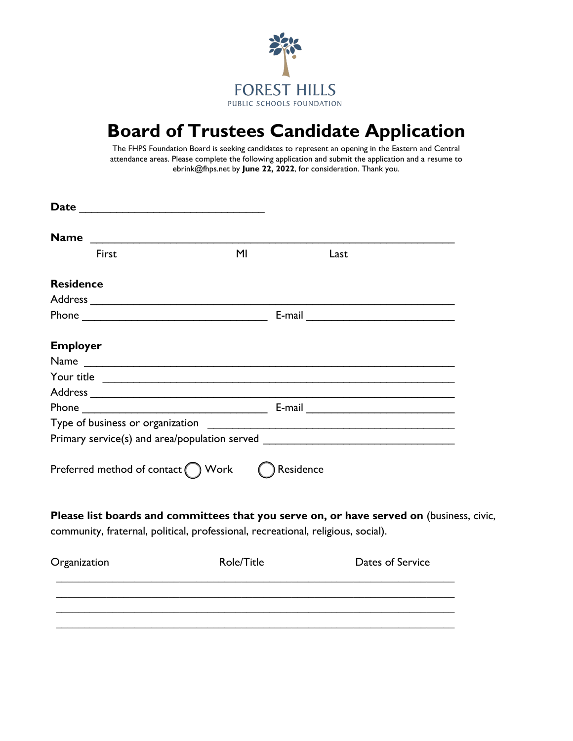

## **Board of Trustees Candidate Application**

The FHPS Foundation Board is seeking candidates to represent an opening in the Eastern and Central attendance areas. Please complete the following application and submit the application and a resume to ebrink@fhps.net by **June 22, 2022**, for consideration. Thank you.

| <b>Name</b>      |                                            |                                                                                  |                                                                                          |  |  |  |
|------------------|--------------------------------------------|----------------------------------------------------------------------------------|------------------------------------------------------------------------------------------|--|--|--|
|                  |                                            |                                                                                  |                                                                                          |  |  |  |
|                  | First                                      | M <sub>l</sub>                                                                   | Last                                                                                     |  |  |  |
| <b>Residence</b> |                                            |                                                                                  |                                                                                          |  |  |  |
|                  |                                            |                                                                                  |                                                                                          |  |  |  |
|                  |                                            |                                                                                  |                                                                                          |  |  |  |
| <b>Employer</b>  |                                            |                                                                                  |                                                                                          |  |  |  |
|                  |                                            |                                                                                  |                                                                                          |  |  |  |
|                  |                                            |                                                                                  |                                                                                          |  |  |  |
|                  |                                            |                                                                                  |                                                                                          |  |  |  |
|                  | E-mail                                     |                                                                                  |                                                                                          |  |  |  |
|                  |                                            |                                                                                  |                                                                                          |  |  |  |
|                  |                                            |                                                                                  | Primary service(s) and area/population served __________________________________         |  |  |  |
|                  | Preferred method of contact $\bigcap$ Work |                                                                                  | ) Residence                                                                              |  |  |  |
|                  |                                            |                                                                                  | Please list boards and committees that you serve on, or have served on (business, civic, |  |  |  |
|                  |                                            | community, fraternal, political, professional, recreational, religious, social). |                                                                                          |  |  |  |
| Organization     |                                            | Role/Title                                                                       | Dates of Service                                                                         |  |  |  |

**\_\_\_\_\_\_\_\_\_\_\_\_\_\_\_\_\_\_\_\_\_\_\_\_\_\_\_\_\_\_\_\_\_\_\_\_\_\_\_\_\_\_\_\_\_\_\_\_\_\_\_\_\_\_\_\_\_\_\_\_\_\_\_\_\_\_\_\_\_\_\_**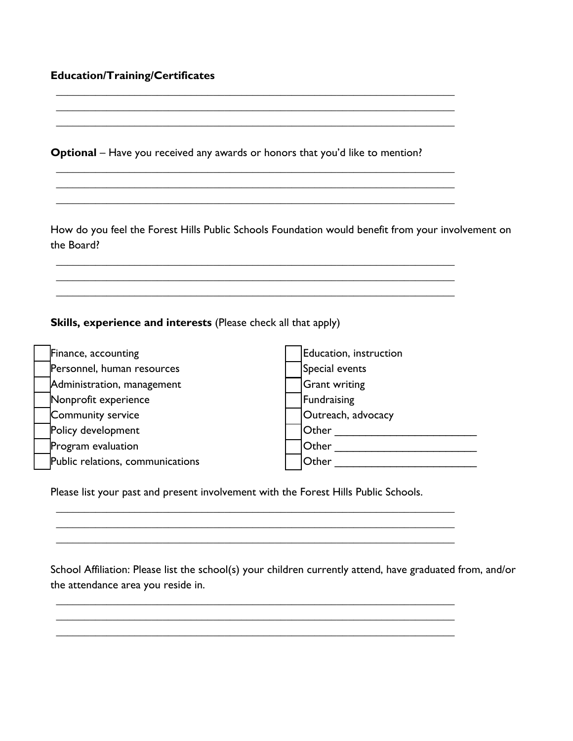## **Education/Training/Certificates**

**Optional** – Have you received any awards or honors that you'd like to mention?

**\_\_\_\_\_\_\_\_\_\_\_\_\_\_\_\_\_\_\_\_\_\_\_\_\_\_\_\_\_\_\_\_\_\_\_\_\_\_\_\_\_\_\_\_\_\_\_\_\_\_\_\_\_\_\_\_\_\_\_\_\_\_\_\_\_\_\_\_\_\_\_ \_\_\_\_\_\_\_\_\_\_\_\_\_\_\_\_\_\_\_\_\_\_\_\_\_\_\_\_\_\_\_\_\_\_\_\_\_\_\_\_\_\_\_\_\_\_\_\_\_\_\_\_\_\_\_\_\_\_\_\_\_\_\_\_\_\_\_\_\_\_\_ \_\_\_\_\_\_\_\_\_\_\_\_\_\_\_\_\_\_\_\_\_\_\_\_\_\_\_\_\_\_\_\_\_\_\_\_\_\_\_\_\_\_\_\_\_\_\_\_\_\_\_\_\_\_\_\_\_\_\_\_\_\_\_\_\_\_\_\_\_\_\_** 

**\_\_\_\_\_\_\_\_\_\_\_\_\_\_\_\_\_\_\_\_\_\_\_\_\_\_\_\_\_\_\_\_\_\_\_\_\_\_\_\_\_\_\_\_\_\_\_\_\_\_\_\_\_\_\_\_\_\_\_\_\_\_\_\_\_\_\_\_\_\_\_ \_\_\_\_\_\_\_\_\_\_\_\_\_\_\_\_\_\_\_\_\_\_\_\_\_\_\_\_\_\_\_\_\_\_\_\_\_\_\_\_\_\_\_\_\_\_\_\_\_\_\_\_\_\_\_\_\_\_\_\_\_\_\_\_\_\_\_\_\_\_\_ \_\_\_\_\_\_\_\_\_\_\_\_\_\_\_\_\_\_\_\_\_\_\_\_\_\_\_\_\_\_\_\_\_\_\_\_\_\_\_\_\_\_\_\_\_\_\_\_\_\_\_\_\_\_\_\_\_\_\_\_\_\_\_\_\_\_\_\_\_\_\_** 

**\_\_\_\_\_\_\_\_\_\_\_\_\_\_\_\_\_\_\_\_\_\_\_\_\_\_\_\_\_\_\_\_\_\_\_\_\_\_\_\_\_\_\_\_\_\_\_\_\_\_\_\_\_\_\_\_\_\_\_\_\_\_\_\_\_\_\_\_\_\_\_ \_\_\_\_\_\_\_\_\_\_\_\_\_\_\_\_\_\_\_\_\_\_\_\_\_\_\_\_\_\_\_\_\_\_\_\_\_\_\_\_\_\_\_\_\_\_\_\_\_\_\_\_\_\_\_\_\_\_\_\_\_\_\_\_\_\_\_\_\_\_\_ \_\_\_\_\_\_\_\_\_\_\_\_\_\_\_\_\_\_\_\_\_\_\_\_\_\_\_\_\_\_\_\_\_\_\_\_\_\_\_\_\_\_\_\_\_\_\_\_\_\_\_\_\_\_\_\_\_\_\_\_\_\_\_\_\_\_\_\_\_\_\_** 

How do you feel the Forest Hills Public Schools Foundation would benefit from your involvement on the Board?

**Skills, experience and interests** (Please check all that apply)

| Finance, accounting              | Education, instruction |
|----------------------------------|------------------------|
| Personnel, human resources       | Special events         |
| Administration, management       | <b>Grant writing</b>   |
| Nonprofit experience             | Fundraising            |
| Community service                | Outreach, advocacy     |
| Policy development               | Other                  |
| Program evaluation               | Other                  |
| Public relations, communications | Other                  |

**\_\_\_\_\_\_\_\_\_\_\_\_\_\_\_\_\_\_\_\_\_\_\_\_\_\_\_\_\_\_\_\_\_\_\_\_\_\_\_\_\_\_\_\_\_\_\_\_\_\_\_\_\_\_\_\_\_\_\_\_\_\_\_\_\_\_\_\_\_\_\_ \_\_\_\_\_\_\_\_\_\_\_\_\_\_\_\_\_\_\_\_\_\_\_\_\_\_\_\_\_\_\_\_\_\_\_\_\_\_\_\_\_\_\_\_\_\_\_\_\_\_\_\_\_\_\_\_\_\_\_\_\_\_\_\_\_\_\_\_\_\_\_ \_\_\_\_\_\_\_\_\_\_\_\_\_\_\_\_\_\_\_\_\_\_\_\_\_\_\_\_\_\_\_\_\_\_\_\_\_\_\_\_\_\_\_\_\_\_\_\_\_\_\_\_\_\_\_\_\_\_\_\_\_\_\_\_\_\_\_\_\_\_\_** 

**\_\_\_\_\_\_\_\_\_\_\_\_\_\_\_\_\_\_\_\_\_\_\_\_\_\_\_\_\_\_\_\_\_\_\_\_\_\_\_\_\_\_\_\_\_\_\_\_\_\_\_\_\_\_\_\_\_\_\_\_\_\_\_\_\_\_\_\_\_\_\_ \_\_\_\_\_\_\_\_\_\_\_\_\_\_\_\_\_\_\_\_\_\_\_\_\_\_\_\_\_\_\_\_\_\_\_\_\_\_\_\_\_\_\_\_\_\_\_\_\_\_\_\_\_\_\_\_\_\_\_\_\_\_\_\_\_\_\_\_\_\_\_ \_\_\_\_\_\_\_\_\_\_\_\_\_\_\_\_\_\_\_\_\_\_\_\_\_\_\_\_\_\_\_\_\_\_\_\_\_\_\_\_\_\_\_\_\_\_\_\_\_\_\_\_\_\_\_\_\_\_\_\_\_\_\_\_\_\_\_\_\_\_\_** 

Please list your past and present involvement with the Forest Hills Public Schools.

School Affiliation: Please list the school(s) your children currently attend, have graduated from, and/or the attendance area you reside in.